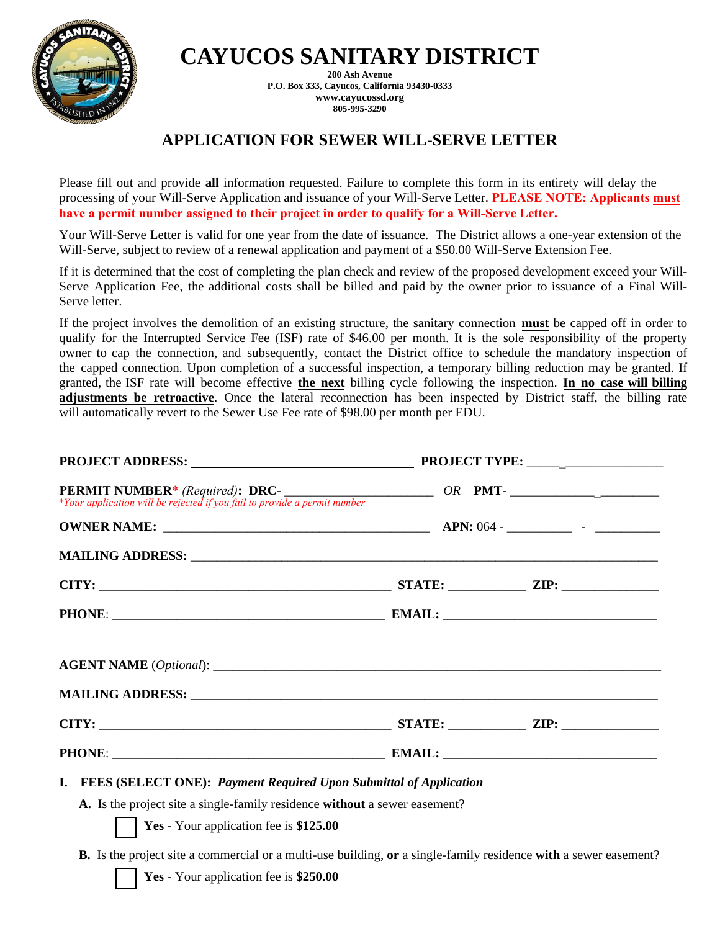

**CAYUCOS SANITARY DISTRICT**

**200 Ash Avenue P.O. Box 333, Cayucos, California 93430-0333 www.cayucossd.org 805-995-3290**

## **APPLICATION FOR SEWER WILL-SERVE LETTER**

Please fill out and provide **all** information requested. Failure to complete this form in its entirety will delay the processing of your Will-Serve Application and issuance of your Will-Serve Letter. **PLEASE NOTE: Applicants must have a permit number assigned to their project in order to qualify for a Will-Serve Letter.** 

Your Will-Serve Letter is valid for one year from the date of issuance. The District allows a one-year extension of the Will-Serve, subject to review of a renewal application and payment of a \$50.00 Will-Serve Extension Fee.

If it is determined that the cost of completing the plan check and review of the proposed development exceed your Will-Serve Application Fee, the additional costs shall be billed and paid by the owner prior to issuance of a Final Will-Serve letter.

If the project involves the demolition of an existing structure, the sanitary connection **must** be capped off in order to qualify for the Interrupted Service Fee (ISF) rate of \$46.00 per month. It is the sole responsibility of the property owner to cap the connection, and subsequently, contact the District office to schedule the mandatory inspection of the capped connection. Upon completion of a successful inspection, a temporary billing reduction may be granted. If granted, the ISF rate will become effective **the next** billing cycle following the inspection. **In no case will billing adjustments be retroactive**. Once the lateral reconnection has been inspected by District staff, the billing rate will automatically revert to the Sewer Use Fee rate of \$98.00 per month per EDU.

| <b>PERMIT NUMBER*</b> (Required): DRC-<br>*Your application will be rejected if you fail to provide a permit number<br>*Your application will be rejected if you fail to provide a permit number                                                                                                                                                                          |  |  |
|---------------------------------------------------------------------------------------------------------------------------------------------------------------------------------------------------------------------------------------------------------------------------------------------------------------------------------------------------------------------------|--|--|
|                                                                                                                                                                                                                                                                                                                                                                           |  |  |
|                                                                                                                                                                                                                                                                                                                                                                           |  |  |
|                                                                                                                                                                                                                                                                                                                                                                           |  |  |
|                                                                                                                                                                                                                                                                                                                                                                           |  |  |
|                                                                                                                                                                                                                                                                                                                                                                           |  |  |
|                                                                                                                                                                                                                                                                                                                                                                           |  |  |
| I. FEES (SELECT ONE): Payment Required Upon Submittal of Application<br>A. Is the project site a single-family residence without a sewer easement?<br>$\vert$ Yes - Your application fee is \$125.00<br><b>B.</b> Is the project site a commercial or a multi-use building, or a single-family residence with a sewer easement?<br>Yes - Your application fee is \$250.00 |  |  |